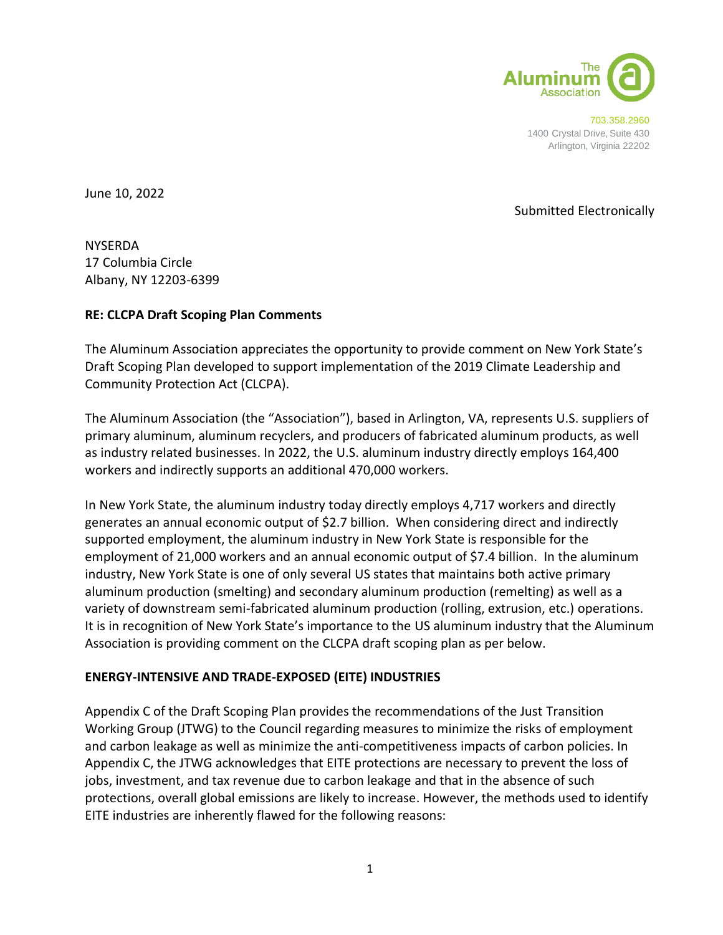

703.358.2960 1400 Crystal Drive, Suite 430 Arlington, Virginia 22202

June 10, 2022

## Submitted Electronically

NYSERDA 17 Columbia Circle Albany, NY 12203-6399

## **RE: CLCPA Draft Scoping Plan Comments**

The Aluminum Association appreciates the opportunity to provide comment on New York State's Draft Scoping Plan developed to support implementation of the 2019 Climate Leadership and Community Protection Act (CLCPA).

The Aluminum Association (the "Association"), based in Arlington, VA, represents U.S. suppliers of primary aluminum, aluminum recyclers, and producers of fabricated aluminum products, as well as industry related businesses. In 2022, the U.S. aluminum industry directly employs 164,400 workers and indirectly supports an additional 470,000 workers.

In New York State, the aluminum industry today directly employs 4,717 workers and directly generates an annual economic output of \$2.7 billion. When considering direct and indirectly supported employment, the aluminum industry in New York State is responsible for the employment of 21,000 workers and an annual economic output of \$7.4 billion. In the aluminum industry, New York State is one of only several US states that maintains both active primary aluminum production (smelting) and secondary aluminum production (remelting) as well as a variety of downstream semi-fabricated aluminum production (rolling, extrusion, etc.) operations. It is in recognition of New York State's importance to the US aluminum industry that the Aluminum Association is providing comment on the CLCPA draft scoping plan as per below.

#### **ENERGY-INTENSIVE AND TRADE-EXPOSED (EITE) INDUSTRIES**

Appendix C of the Draft Scoping Plan provides the recommendations of the Just Transition Working Group (JTWG) to the Council regarding measures to minimize the risks of employment and carbon leakage as well as minimize the anti-competitiveness impacts of carbon policies. In Appendix C, the JTWG acknowledges that EITE protections are necessary to prevent the loss of jobs, investment, and tax revenue due to carbon leakage and that in the absence of such protections, overall global emissions are likely to increase. However, the methods used to identify EITE industries are inherently flawed for the following reasons: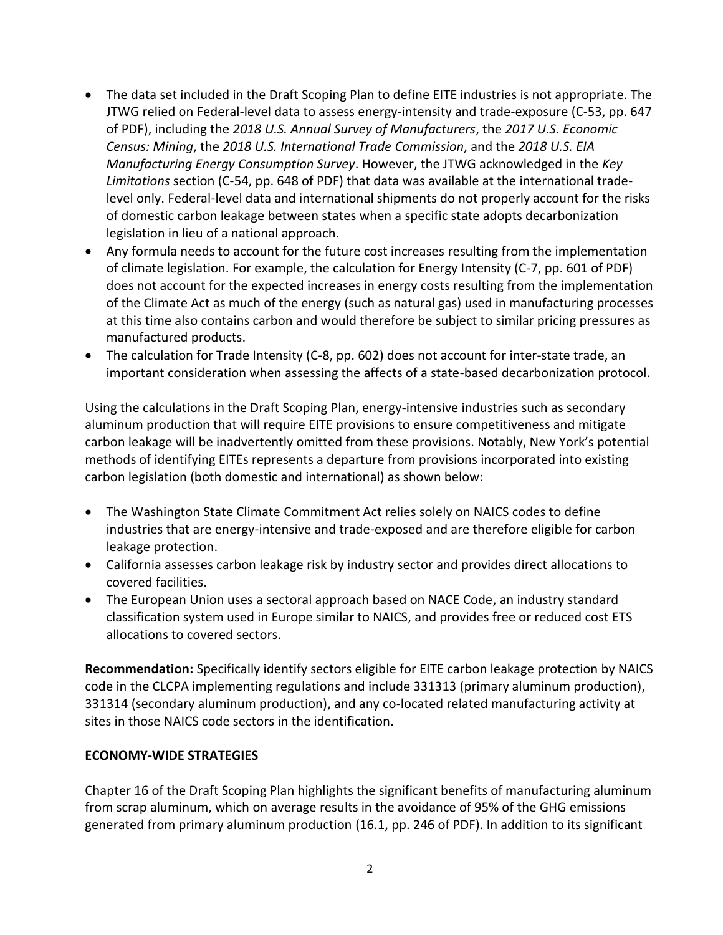- The data set included in the Draft Scoping Plan to define EITE industries is not appropriate. The JTWG relied on Federal-level data to assess energy-intensity and trade-exposure (C-53, pp. 647 of PDF), including the *2018 U.S. Annual Survey of Manufacturers*, the *2017 U.S. Economic Census: Mining*, the *2018 U.S. International Trade Commission*, and the *2018 U.S. EIA Manufacturing Energy Consumption Survey*. However, the JTWG acknowledged in the *Key Limitations* section (C-54, pp. 648 of PDF) that data was available at the international tradelevel only. Federal-level data and international shipments do not properly account for the risks of domestic carbon leakage between states when a specific state adopts decarbonization legislation in lieu of a national approach.
- Any formula needs to account for the future cost increases resulting from the implementation of climate legislation. For example, the calculation for Energy Intensity (C-7, pp. 601 of PDF) does not account for the expected increases in energy costs resulting from the implementation of the Climate Act as much of the energy (such as natural gas) used in manufacturing processes at this time also contains carbon and would therefore be subject to similar pricing pressures as manufactured products.
- The calculation for Trade Intensity (C-8, pp. 602) does not account for inter-state trade, an important consideration when assessing the affects of a state-based decarbonization protocol.

Using the calculations in the Draft Scoping Plan, energy-intensive industries such as secondary aluminum production that will require EITE provisions to ensure competitiveness and mitigate carbon leakage will be inadvertently omitted from these provisions. Notably, New York's potential methods of identifying EITEs represents a departure from provisions incorporated into existing carbon legislation (both domestic and international) as shown below:

- The Washington State Climate Commitment Act relies solely on NAICS codes to define industries that are energy-intensive and trade-exposed and are therefore eligible for carbon leakage protection.
- California assesses carbon leakage risk by industry sector and provides direct allocations to covered facilities.
- The European Union uses a sectoral approach based on NACE Code, an industry standard classification system used in Europe similar to NAICS, and provides free or reduced cost ETS allocations to covered sectors.

**Recommendation:** Specifically identify sectors eligible for EITE carbon leakage protection by NAICS code in the CLCPA implementing regulations and include 331313 (primary aluminum production), 331314 (secondary aluminum production), and any co-located related manufacturing activity at sites in those NAICS code sectors in the identification.

# **ECONOMY-WIDE STRATEGIES**

Chapter 16 of the Draft Scoping Plan highlights the significant benefits of manufacturing aluminum from scrap aluminum, which on average results in the avoidance of 95% of the GHG emissions generated from primary aluminum production (16.1, pp. 246 of PDF). In addition to its significant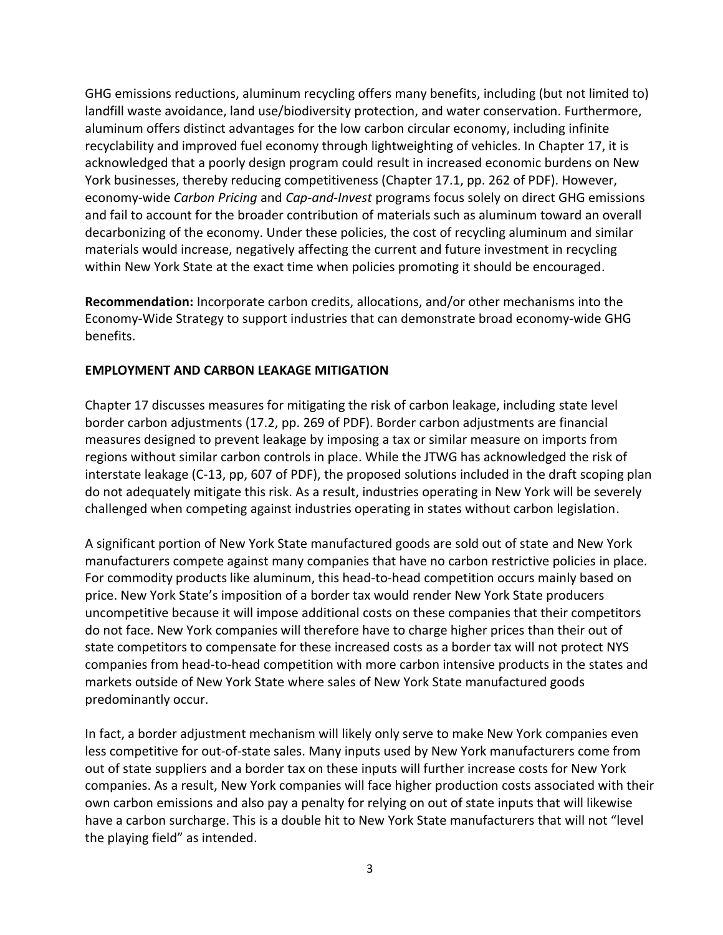GHG emissions reductions, aluminum recycling offers many benefits, including (but not limited to) landfill waste avoidance, land use/biodiversity protection, and water conservation. Furthermore, aluminum offers distinct advantages for the low carbon circular economy, including infinite recyclability and improved fuel economy through lightweighting of vehicles. In Chapter 17, it is acknowledged that a poorly design program could result in increased economic burdens on New York businesses, thereby reducing competitiveness (Chapter 17.1, pp. 262 of PDF). However, economy-wide *Carbon Pricing* and *Cap-and-Invest* programs focus solely on direct GHG emissions and fail to account for the broader contribution of materials such as aluminum toward an overall decarbonizing of the economy. Under these policies, the cost of recycling aluminum and similar materials would increase, negatively affecting the current and future investment in recycling within New York State at the exact time when policies promoting it should be encouraged.

**Recommendation:** Incorporate carbon credits, allocations, and/or other mechanisms into the Economy-Wide Strategy to support industries that can demonstrate broad economy-wide GHG benefits.

## **EMPLOYMENT AND CARBON LEAKAGE MITIGATION**

Chapter 17 discusses measures for mitigating the risk of carbon leakage, including state level border carbon adjustments (17.2, pp. 269 of PDF). Border carbon adjustments are financial measures designed to prevent leakage by imposing a tax or similar measure on imports from regions without similar carbon controls in place. While the JTWG has acknowledged the risk of interstate leakage (C-13, pp, 607 of PDF), the proposed solutions included in the draft scoping plan do not adequately mitigate this risk. As a result, industries operating in New York will be severely challenged when competing against industries operating in states without carbon legislation.

A significant portion of New York State manufactured goods are sold out of state and New York manufacturers compete against many companies that have no carbon restrictive policies in place. For commodity products like aluminum, this head-to-head competition occurs mainly based on price. New York State's imposition of a border tax would render New York State producers uncompetitive because it will impose additional costs on these companies that their competitors do not face. New York companies will therefore have to charge higher prices than their out of state competitors to compensate for these increased costs as a border tax will not protect NYS companies from head-to-head competition with more carbon intensive products in the states and markets outside of New York State where sales of New York State manufactured goods predominantly occur.

In fact, a border adjustment mechanism will likely only serve to make New York companies even less competitive for out-of-state sales. Many inputs used by New York manufacturers come from out of state suppliers and a border tax on these inputs will further increase costs for New York companies. As a result, New York companies will face higher production costs associated with their own carbon emissions and also pay a penalty for relying on out of state inputs that will likewise have a carbon surcharge. This is a double hit to New York State manufacturers that will not "level the playing field" as intended.